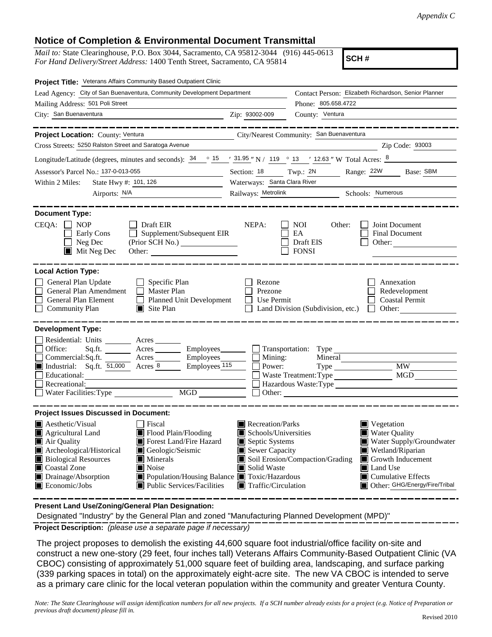## **Notice of Completion & Environmental Document Transmittal**

*Mail to:* State Clearinghouse, P.O. Box 3044, Sacramento, CA 95812-3044 (916) 445-0613 *For Hand Delivery/Street Address:* 1400 Tenth Street, Sacramento, CA 95814

**SCH #**

| Project Title: Veterans Affairs Community Based Outpatient Clinic                                                                                                                                                                                                                                                                                                                                                                                                                    |                                                                                                                                   |                                                                                                                                                                                                                                                 |  |
|--------------------------------------------------------------------------------------------------------------------------------------------------------------------------------------------------------------------------------------------------------------------------------------------------------------------------------------------------------------------------------------------------------------------------------------------------------------------------------------|-----------------------------------------------------------------------------------------------------------------------------------|-------------------------------------------------------------------------------------------------------------------------------------------------------------------------------------------------------------------------------------------------|--|
| Lead Agency: City of San Buenaventura, Community Development Department                                                                                                                                                                                                                                                                                                                                                                                                              |                                                                                                                                   | Contact Person: Elizabeth Richardson, Senior Planner                                                                                                                                                                                            |  |
| Mailing Address: 501 Poli Street                                                                                                                                                                                                                                                                                                                                                                                                                                                     |                                                                                                                                   | Phone: 805.658.4722                                                                                                                                                                                                                             |  |
| City: San Buenaventura<br>Zip: 93002-009                                                                                                                                                                                                                                                                                                                                                                                                                                             |                                                                                                                                   | County: Ventura                                                                                                                                                                                                                                 |  |
| ____________<br>Project Location: County: Ventura<br>Cross Streets: 5250 Ralston Street and Saratoga Avenue                                                                                                                                                                                                                                                                                                                                                                          |                                                                                                                                   | City/Nearest Community: San Buenaventura<br>Zip Code: 93003                                                                                                                                                                                     |  |
| Longitude/Latitude (degrees, minutes and seconds): $34 \cdot 9 = 15 \cdot 31.95$ "N / 119 $\circ$ 13 / 12.63 "W Total Acres: $8 \cdot 10 = 10$                                                                                                                                                                                                                                                                                                                                       |                                                                                                                                   |                                                                                                                                                                                                                                                 |  |
| Assessor's Parcel No.: 137-0-013-055<br><u> 1989 - Johann Barbara, martin a</u>                                                                                                                                                                                                                                                                                                                                                                                                      |                                                                                                                                   | Section: 18 Twp.: 2N Range: 22W Base: SBM                                                                                                                                                                                                       |  |
| Waterways: Santa Clara River<br>State Hwy #: $101, 126$<br>Within 2 Miles:                                                                                                                                                                                                                                                                                                                                                                                                           |                                                                                                                                   |                                                                                                                                                                                                                                                 |  |
|                                                                                                                                                                                                                                                                                                                                                                                                                                                                                      |                                                                                                                                   | Railways: Metrolink Schools: Numerous                                                                                                                                                                                                           |  |
| <b>Document Type:</b><br>$CEQA: \Box NP$<br>$\Box$ Draft EIR<br>Supplement/Subsequent EIR<br>Early Cons<br>$\Box$ Neg Dec<br>$\blacksquare$ Mit Neg Dec                                                                                                                                                                                                                                                                                                                              | NEPA:                                                                                                                             | NOI 11<br>Other:<br>Joint Document<br>EA<br><b>Final Document</b><br>Draft EIS<br>Other:<br><b>FONSI</b>                                                                                                                                        |  |
| <b>Local Action Type:</b><br>General Plan Update<br>$\Box$ Specific Plan<br>General Plan Amendment<br>$\Box$ Master Plan<br>$\Box$<br>Planned Unit Development<br><b>General Plan Element</b><br>$\Box$<br>$\blacksquare$ Site Plan<br><b>Community Plan</b>                                                                                                                                                                                                                         | Rezone<br>Prezone<br>$\Box$ Use Permit                                                                                            | Annexation<br>Redevelopment<br><b>Coastal Permit</b><br>Land Division (Subdivision, etc.) $\Box$ Other:                                                                                                                                         |  |
| <b>Development Type:</b><br>Residential: Units ________ Acres _______<br>Sq.ft. _________ Acres ___________ Employees_________ ____ Transportation: Type ___<br>Office:<br>Commercial:Sq.ft. ________ Acres _________ Employees ________ __ Mining:<br>Industrial: Sq.ft. 51,000 Acres 8<br>Employees 115<br>Educational:<br>Recreational:<br>Water Facilities: Type<br>MGD                                                                                                          | Power:                                                                                                                            | Mineral<br><b>MW</b><br>MGD<br>Waste Treatment: Type<br>Hazardous Waste:Type                                                                                                                                                                    |  |
| <b>Project Issues Discussed in Document:</b><br><b>A</b> esthetic/Visual<br>Fiscal<br>Flood Plain/Flooding<br>$\blacksquare$ Agricultural Land<br>Air Quality<br>Forest Land/Fire Hazard<br>Archeological/Historical<br>Geologic/Seismic<br><b>Biological Resources</b><br>$\blacksquare$ Minerals<br>Coastal Zone<br>$\blacksquare$ Noise<br>Drainage/Absorption<br>■ Population/Housing Balance ■ Toxic/Hazardous<br>$\blacksquare$ Economic/Jobs<br> ■ Public Services/Facilities | Recreation/Parks<br>Schools/Universities<br>Septic Systems<br>Sewer Capacity<br>Solid Waste<br>$\blacksquare$ Traffic/Circulation | $\blacksquare$ Vegetation<br>■ Water Quality<br>Water Supply/Groundwater<br>Wetland/Riparian<br>Soil Erosion/Compaction/Grading<br>Growth Inducement<br><b>I</b> Land Use<br>$\blacksquare$ Cumulative Effects<br>Other: GHG/Energy/Fire/Tribal |  |

**Present Land Use/Zoning/General Plan Designation:**

Designated "Industry" by the General Plan and zoned "Manufacturing Planned Development (MPD)"

**Project Description:** *(please use a separate page if necessary)*

 The project proposes to demolish the existing 44,600 square foot industrial/office facility on‐site and construct a new one-story (29 feet, four inches tall) Veterans Affairs Community-Based Outpatient Clinic (VA CBOC) consisting of approximately 51,000 square feet of building area, landscaping, and surface parking (339 parking spaces in total) on the approximately eight-acre site. The new VA CBOC is intended to serve as a primary care clinic for the local veteran population within the community and greater Ventura County.

*Note: The State Clearinghouse will assign identification numbers for all new projects. If a SCH number already exists for a project (e.g. Notice of Preparation or previous draft document) please fill in.*